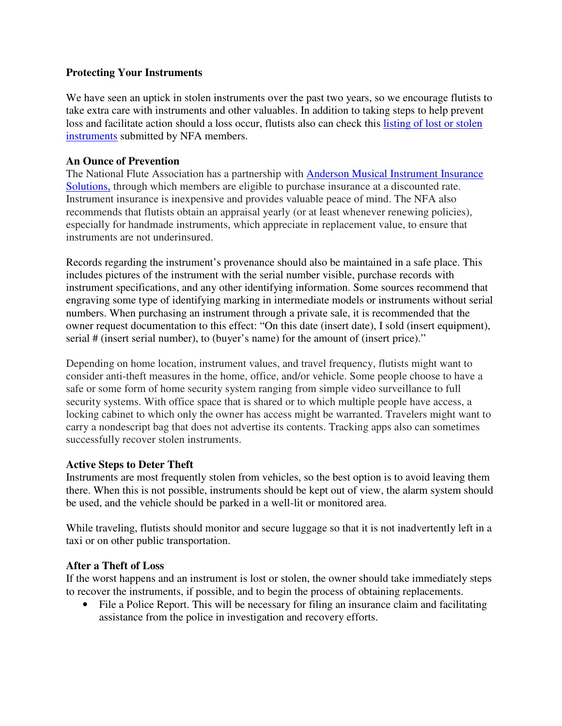## **Protecting Your Instruments**

We have seen an uptick in stolen instruments over the past two years, so we encourage flutists to take extra care with instruments and other valuables. In addition to taking steps to help prevent loss and facilitate action should a loss occur, flutists also can check this listing of lost or stolen instruments submitted by NFA members.

## **An Ounce of Prevention**

The National Flute Association has a partnership with Anderson Musical Instrument Insurance Solutions, through which members are eligible to purchase insurance at a discounted rate. Instrument insurance is inexpensive and provides valuable peace of mind. The NFA also recommends that flutists obtain an appraisal yearly (or at least whenever renewing policies), especially for handmade instruments, which appreciate in replacement value, to ensure that instruments are not underinsured.

Records regarding the instrument's provenance should also be maintained in a safe place. This includes pictures of the instrument with the serial number visible, purchase records with instrument specifications, and any other identifying information. Some sources recommend that engraving some type of identifying marking in intermediate models or instruments without serial numbers. When purchasing an instrument through a private sale, it is recommended that the owner request documentation to this effect: "On this date (insert date), I sold (insert equipment), serial # (insert serial number), to (buyer's name) for the amount of (insert price)."

Depending on home location, instrument values, and travel frequency, flutists might want to consider anti-theft measures in the home, office, and/or vehicle. Some people choose to have a safe or some form of home security system ranging from simple video surveillance to full security systems. With office space that is shared or to which multiple people have access, a locking cabinet to which only the owner has access might be warranted. Travelers might want to carry a nondescript bag that does not advertise its contents. Tracking apps also can sometimes successfully recover stolen instruments.

## **Active Steps to Deter Theft**

Instruments are most frequently stolen from vehicles, so the best option is to avoid leaving them there. When this is not possible, instruments should be kept out of view, the alarm system should be used, and the vehicle should be parked in a well-lit or monitored area.

While traveling, flutists should monitor and secure luggage so that it is not inadvertently left in a taxi or on other public transportation.

## **After a Theft of Loss**

If the worst happens and an instrument is lost or stolen, the owner should take immediately steps to recover the instruments, if possible, and to begin the process of obtaining replacements.

• File a Police Report. This will be necessary for filing an insurance claim and facilitating assistance from the police in investigation and recovery efforts.